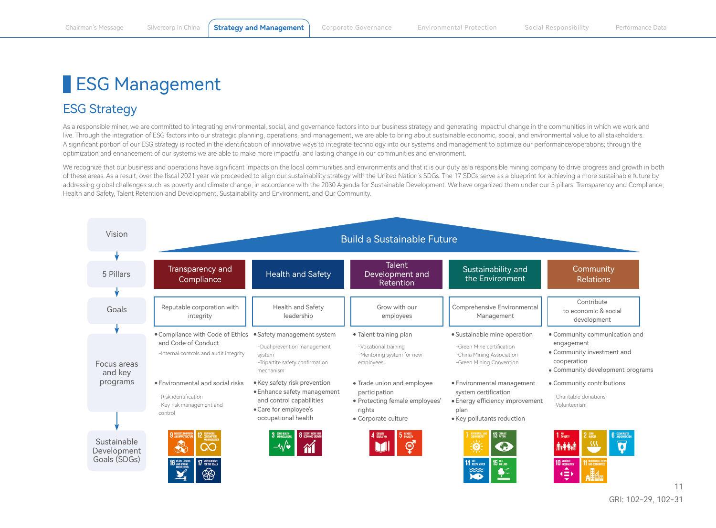## ESG Management

## ESG Strategy

As a responsible miner, we are committed to integrating environmental, social, and governance factors into our business strategy and generating impactful change in the communities in which we work and live. Through the integration of ESG factors into our strategic planning, operations, and management, we are able to bring about sustainable economic, social, and environmental value to all stakeholders. A significant portion of our ESG strategy is rooted in the identification of innovative ways to integrate technology into our systems and management to optimize our performance/operations; through the optimization and enhancement of our systems we are able to make more impactful and lasting change in our communities and environment.

We recognize that our business and operations have significant impacts on the local communities and environments and that it is our duty as a responsible mining company to drive progress and growth in both of these areas. As a result, over the fiscal 2021 year we proceeded to align our sustainability strategy with the United Nation's SDGs. The 17 SDGs serve as a blueprint for achieving a more sustainable future by addressing global challenges such as poverty and climate change, in accordance with the 2030 Agenda for Sustainable Development. We have organized them under our 5 pillars: Transparency and Compliance, Health and Safety, Talent Retention and Development, Sustainability and Environment, and Our Community.

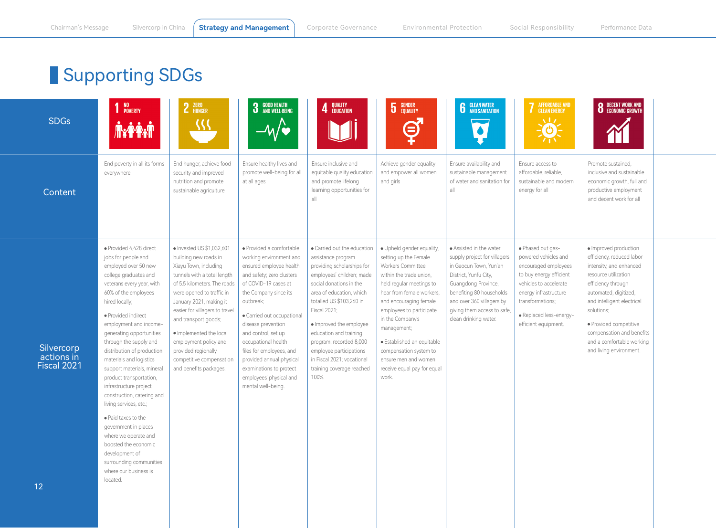## Supporting SDGs

| <b>SDGs</b>                                   | NO<br>Poverty<br><b>Niffinity</b>                                                                                                                                                                                                                                                                                                                                                                                                                                                                                                                                                                                                                                  | 2 ZERO<br><u>{{{</u>                                                                                                                                                                                                                                                                                                                                                                          | <b>3</b> GOOD HEALTH<br><b>3</b> AND WELL-BEING<br>$-\mathcal{W}$                                                                                                                                                                                                                                                                                                                                               | 4 QUALITY                                                                                                                                                                                                                                                                                                                                                                                      | <b>5</b> GENDER<br>⊜                                                                                                                                                                                                                                                                                                                                                         | <b>6</b> CLEAN WATER                                                                                                                                                                                                                               | AFFORDABLE AND<br>CLEAN ENERGY<br>$\sqrt{17}$<br>$\circ$ )-                                                                                                                                                            | <b>8</b> DECENT WORK AND ECONOMIC GROWTH                                                                                                                                                                                                                                                                        |
|-----------------------------------------------|--------------------------------------------------------------------------------------------------------------------------------------------------------------------------------------------------------------------------------------------------------------------------------------------------------------------------------------------------------------------------------------------------------------------------------------------------------------------------------------------------------------------------------------------------------------------------------------------------------------------------------------------------------------------|-----------------------------------------------------------------------------------------------------------------------------------------------------------------------------------------------------------------------------------------------------------------------------------------------------------------------------------------------------------------------------------------------|-----------------------------------------------------------------------------------------------------------------------------------------------------------------------------------------------------------------------------------------------------------------------------------------------------------------------------------------------------------------------------------------------------------------|------------------------------------------------------------------------------------------------------------------------------------------------------------------------------------------------------------------------------------------------------------------------------------------------------------------------------------------------------------------------------------------------|------------------------------------------------------------------------------------------------------------------------------------------------------------------------------------------------------------------------------------------------------------------------------------------------------------------------------------------------------------------------------|----------------------------------------------------------------------------------------------------------------------------------------------------------------------------------------------------------------------------------------------------|------------------------------------------------------------------------------------------------------------------------------------------------------------------------------------------------------------------------|-----------------------------------------------------------------------------------------------------------------------------------------------------------------------------------------------------------------------------------------------------------------------------------------------------------------|
| Content                                       | End poverty in all its forms<br>everywhere                                                                                                                                                                                                                                                                                                                                                                                                                                                                                                                                                                                                                         | End hunger, achieve food<br>security and improved<br>nutrition and promote<br>sustainable agriculture                                                                                                                                                                                                                                                                                         | Ensure healthy lives and<br>promote well-being for all<br>at all ages                                                                                                                                                                                                                                                                                                                                           | Ensure inclusive and<br>equitable quality education<br>and promote lifelong<br>learning opportunities for<br>a                                                                                                                                                                                                                                                                                 | Achieve gender equality<br>and empower all women<br>and girls                                                                                                                                                                                                                                                                                                                | Ensure availability and<br>sustainable management<br>of water and sanitation for<br>all                                                                                                                                                            | Ensure access to<br>affordable, reliable,<br>sustainable and modern<br>energy for all                                                                                                                                  | Promote sustained,<br>inclusive and sustainable<br>economic growth, full and<br>productive employment<br>and decent work for all                                                                                                                                                                                |
| Silvercorp<br>actions in<br>Fiscal 2021<br>12 | · Provided 4,428 direct<br>jobs for people and<br>employed over 50 new<br>college graduates and<br>veterans every year, with<br>60% of the employees<br>hired locally;<br>· Provided indirect<br>employment and income-<br>generating opportunities<br>through the supply and<br>distribution of production<br>materials and logistics<br>support materials, mineral<br>product transportation,<br>infrastructure project<br>construction, catering and<br>living services, etc.;<br>• Paid taxes to the<br>government in places<br>where we operate and<br>boosted the economic<br>development of<br>surrounding communities<br>where our business is<br>located. | · Invested US \$1,032,601<br>building new roads in<br>Xiayu Town, including<br>tunnels with a total length<br>of 5.5 kilometers. The roads<br>were opened to traffic in<br>January 2021, making it<br>easier for villagers to travel<br>and transport goods;<br>· Implemented the local<br>employment policy and<br>provided regionally<br>competitive compensation<br>and benefits packages. | · Provided a comfortable<br>working environment and<br>ensured employee health<br>and safety; zero clusters<br>of COVID-19 cases at<br>the Company since its<br>outbreak;<br>· Carried out occupational<br>disease prevention<br>and control, set up<br>occupational health<br>files for employees, and<br>provided annual physical<br>examinations to protect<br>employees' physical and<br>mental well-being. | · Carried out the education<br>assistance program<br>providing scholarships for<br>employees' children; made<br>social donations in the<br>area of education, which<br>totalled US \$103,260 in<br>Fiscal 2021;<br>· Improved the employee<br>education and training<br>program; recorded 8,000<br>employee participations<br>in Fiscal 2021; vocational<br>training coverage reached<br>100%. | · Upheld gender equality,<br>setting up the Female<br>Workers Committee<br>within the trade union,<br>held regular meetings to<br>hear from female workers,<br>and encouraging female<br>employees to participate<br>in the Company's<br>management;<br>· Established an equitable<br>compensation system to<br>ensure men and women<br>receive equal pay for equal<br>work. | · Assisted in the water<br>supply project for villagers<br>in Gaocun Town, Yun'an<br>District, Yunfu City,<br>Guangdong Province,<br>benefiting 80 households<br>and over 360 villagers by<br>giving them access to safe,<br>clean drinking water. | · Phased out gas-<br>powered vehicles and<br>encouraged employees<br>to buy energy efficient<br>vehicles to accelerate<br>energy infrastructure<br>transformations;<br>· Replaced less-energy-<br>efficient equipment. | · Improved production<br>efficiency, reduced labor<br>intensity, and enhanced<br>resource utilization<br>efficiency through<br>automated, digitized,<br>and intelligent electrical<br>solutions;<br>· Provided competitive<br>compensation and benefits<br>and a comfortable working<br>and living environment. |